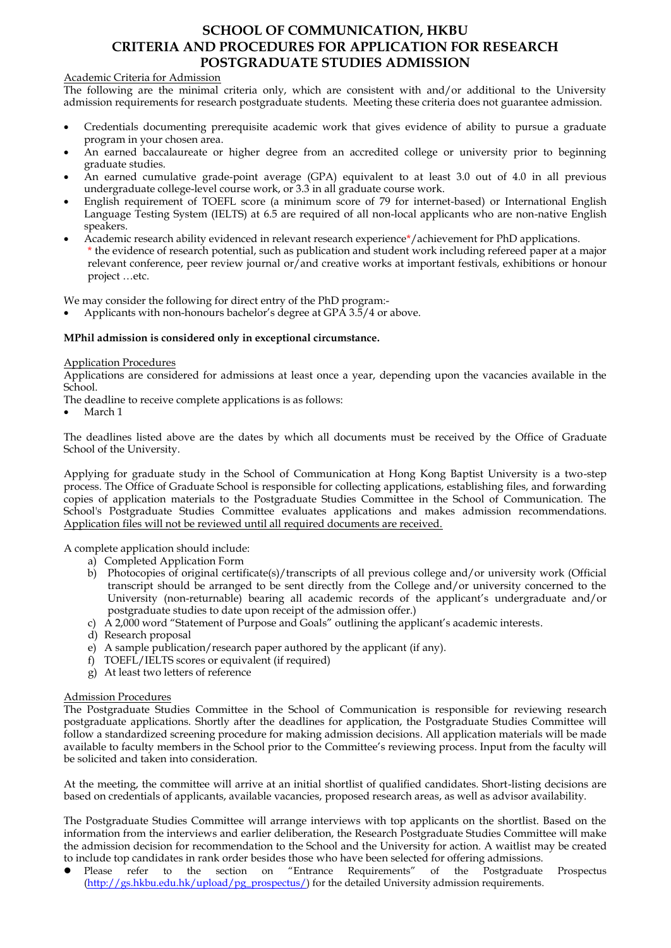# **SCHOOL OF COMMUNICATION, HKBU CRITERIA AND PROCEDURES FOR APPLICATION FOR RESEARCH POSTGRADUATE STUDIES ADMISSION**

# Academic Criteria for Admission

The following are the minimal criteria only, which are consistent with and/or additional to the University admission requirements for research postgraduate students. Meeting these criteria does not guarantee admission.

- Credentials documenting prerequisite academic work that gives evidence of ability to pursue a graduate program in your chosen area.
- An earned baccalaureate or higher degree from an accredited college or university prior to beginning graduate studies.
- An earned cumulative grade-point average (GPA) equivalent to at least 3.0 out of 4.0 in all previous undergraduate college-level course work, or 3.3 in all graduate course work.
- English requirement of TOEFL score (a minimum score of 79 for internet-based) or International English Language Testing System (IELTS) at 6.5 are required of all non-local applicants who are non-native English speakers.
- Academic research ability evidenced in relevant research experience\*/achievement for PhD applications. \* the evidence of research potential, such as publication and student work including refereed paper at a major relevant conference, peer review journal or  $\bar{I}$  and creative works at important festivals, exhibitions or honour project …etc.

We may consider the following for direct entry of the PhD program:-

Applicants with non-honours bachelor's degree at GPA 3.5/4 or above.

# **MPhil admission is considered only in exceptional circumstance.**

#### Application Procedures

Applications are considered for admissions at least once a year, depending upon the vacancies available in the School.

The deadline to receive complete applications is as follows:

March 1

The deadlines listed above are the dates by which all documents must be received by the Office of Graduate School of the University.

Applying for graduate study in the School of Communication at Hong Kong Baptist University is a two-step process. The Office of Graduate School is responsible for collecting applications, establishing files, and forwarding copies of application materials to the Postgraduate Studies Committee in the School of Communication. The School's Postgraduate Studies Committee evaluates applications and makes admission recommendations. Application files will not be reviewed until all required documents are received.

A complete application should include:

- a) Completed Application Form
	- b) Photocopies of original certificate(s)/transcripts of all previous college and/or university work (Official transcript should be arranged to be sent directly from the College and/or university concerned to the University (non-returnable) bearing all academic records of the applicant's undergraduate and/or postgraduate studies to date upon receipt of the admission offer.)
	- c)  $\hat{A}$  2,000 word "Statement of Purpose and Goals" outlining the applicant's academic interests.
	- d) Research proposal
	- e) A sample publication/research paper authored by the applicant (if any).
	- f) TOEFL/IELTS scores or equivalent (if required)
	- g) At least two letters of reference

#### Admission Procedures

The Postgraduate Studies Committee in the School of Communication is responsible for reviewing research postgraduate applications. Shortly after the deadlines for application, the Postgraduate Studies Committee will follow a standardized screening procedure for making admission decisions. All application materials will be made available to faculty members in the School prior to the Committee's reviewing process. Input from the faculty will be solicited and taken into consideration.

At the meeting, the committee will arrive at an initial shortlist of qualified candidates. Short-listing decisions are based on credentials of applicants, available vacancies, proposed research areas, as well as advisor availability.

The Postgraduate Studies Committee will arrange interviews with top applicants on the shortlist. Based on the information from the interviews and earlier deliberation, the Research Postgraduate Studies Committee will make the admission decision for recommendation to the School and the University for action. A waitlist may be created to include top candidates in rank order besides those who have been selected for offering admissions.<br>• Please refer to the section on "Entrance Requirements" of the Postgraduate

Please refer to the section on "Entrance Requirements" of the Postgraduate Prospectus [\(http://gs.hkbu.edu.hk/upload/pg\\_prospectus/\)](http://gs.hkbu.edu.hk/upload/pg_prospectus/) for the detailed University admission requirements.